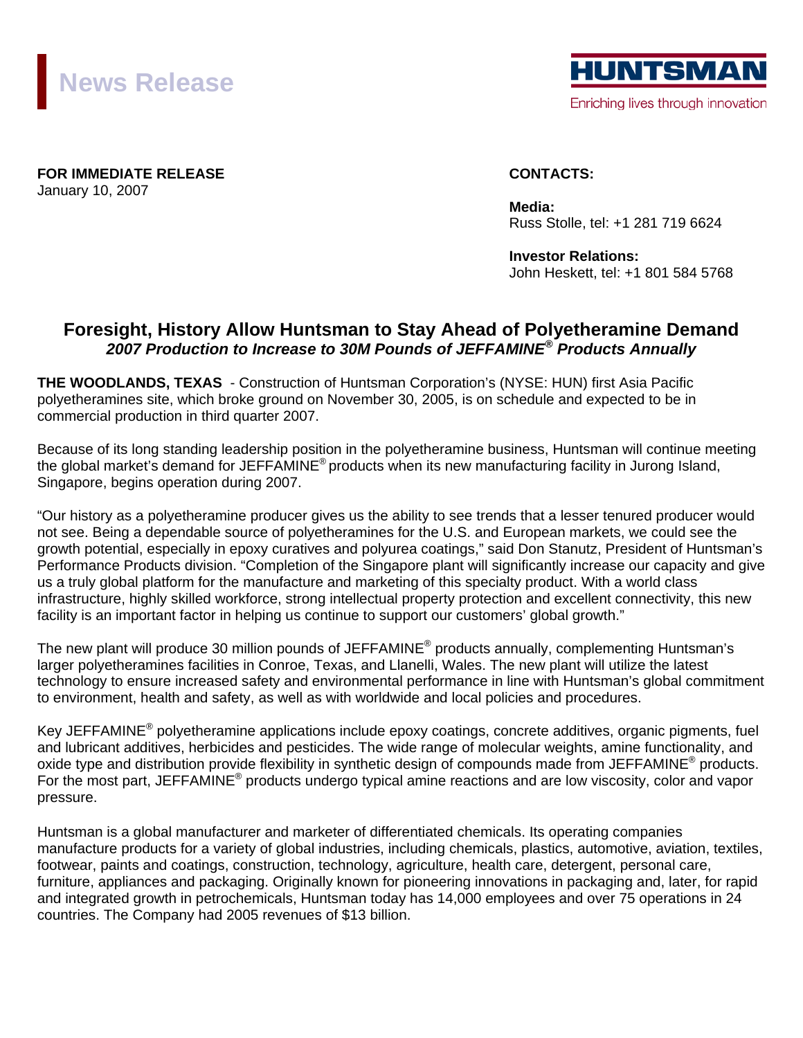



**FOR IMMEDIATE RELEASE CONTACTS:** January 10, 2007

**Media:** Russ Stolle, tel: +1 281 719 6624

**Investor Relations:**  John Heskett, tel: +1 801 584 5768

## **Foresight, History Allow Huntsman to Stay Ahead of Polyetheramine Demand**  *2007 Production to Increase to 30M Pounds of JEFFAMINE® Products Annually*

**THE WOODLANDS, TEXAS** - Construction of Huntsman Corporation's (NYSE: HUN) first Asia Pacific polyetheramines site, which broke ground on November 30, 2005, is on schedule and expected to be in commercial production in third quarter 2007.

Because of its long standing leadership position in the polyetheramine business, Huntsman will continue meeting the global market's demand for JEFFAMINE<sup>®</sup> products when its new manufacturing facility in Jurong Island, Singapore, begins operation during 2007.

"Our history as a polyetheramine producer gives us the ability to see trends that a lesser tenured producer would not see. Being a dependable source of polyetheramines for the U.S. and European markets, we could see the growth potential, especially in epoxy curatives and polyurea coatings," said Don Stanutz, President of Huntsman's Performance Products division. "Completion of the Singapore plant will significantly increase our capacity and give us a truly global platform for the manufacture and marketing of this specialty product. With a world class infrastructure, highly skilled workforce, strong intellectual property protection and excellent connectivity, this new facility is an important factor in helping us continue to support our customers' global growth."

The new plant will produce 30 million pounds of JEFFAMINE<sup>®</sup> products annually, complementing Huntsman's larger polyetheramines facilities in Conroe, Texas, and Llanelli, Wales. The new plant will utilize the latest technology to ensure increased safety and environmental performance in line with Huntsman's global commitment to environment, health and safety, as well as with worldwide and local policies and procedures.

Key JEFFAMINE® polyetheramine applications include epoxy coatings, concrete additives, organic pigments, fuel and lubricant additives, herbicides and pesticides. The wide range of molecular weights, amine functionality, and oxide type and distribution provide flexibility in synthetic design of compounds made from JEFFAMINE<sup>®</sup> products. For the most part, JEFFAMINE® products undergo typical amine reactions and are low viscosity, color and vapor pressure.

Huntsman is a global manufacturer and marketer of differentiated chemicals. Its operating companies manufacture products for a variety of global industries, including chemicals, plastics, automotive, aviation, textiles, footwear, paints and coatings, construction, technology, agriculture, health care, detergent, personal care, furniture, appliances and packaging. Originally known for pioneering innovations in packaging and, later, for rapid and integrated growth in petrochemicals, Huntsman today has 14,000 employees and over 75 operations in 24 countries. The Company had 2005 revenues of \$13 billion.